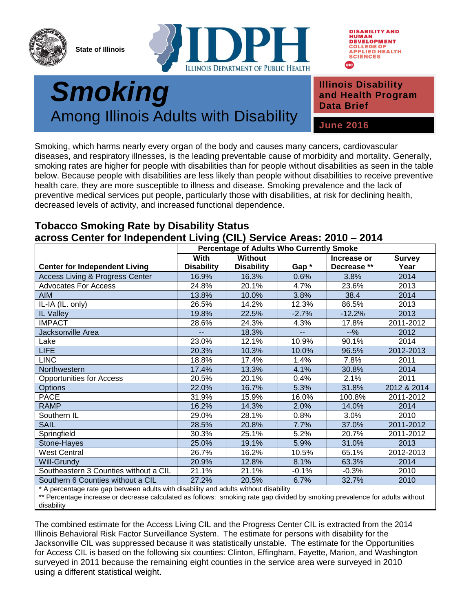

**State of Illinois**





## **Department of Smoking** Among Illinois Adults with Disability

**Illinois Disability and Health Program Data Brief**

**June 2016**

Smoking, which harms nearly every organ of the body and causes many cancers, cardiovascular diseases, and respiratory illnesses, is the leading preventable cause of morbidity and mortality. Generally, smoking rates are higher for people with disabilities than for people without disabilities as seen in the table below. Because people with disabilities are less likely than people without disabilities to receive preventive health care, they are more susceptible to illness and disease. Smoking prevalence and the lack of preventive medical services put people, particularly those with disabilities, at risk for declining health, decreased levels of activity, and increased functional dependence.

## **Tobacco Smoking Rate by Disability Status across Center for Independent Living (CIL) Service Areas: 2010 – 2014**

|                                                                                                                                                                                                                                                         | <b>Percentage of Adults Who Currently Smoke</b> |                   |         |             |               |
|---------------------------------------------------------------------------------------------------------------------------------------------------------------------------------------------------------------------------------------------------------|-------------------------------------------------|-------------------|---------|-------------|---------------|
|                                                                                                                                                                                                                                                         | With                                            | <b>Without</b>    |         | Increase or | <b>Survey</b> |
| <b>Center for Independent Living</b>                                                                                                                                                                                                                    | <b>Disability</b>                               | <b>Disability</b> | Gap*    | Decrease ** | Year          |
| <b>Access Living &amp; Progress Center</b>                                                                                                                                                                                                              | 16.9%                                           | 16.3%             | 0.6%    | 3.8%        | 2014          |
| <b>Advocates For Access</b>                                                                                                                                                                                                                             | 24.8%                                           | 20.1%             | 4.7%    | 23.6%       | 2013          |
| <b>AIM</b>                                                                                                                                                                                                                                              | 13.8%                                           | 10.0%             | 3.8%    | 38.4        | 2014          |
| IL-IA (IL. only)                                                                                                                                                                                                                                        | 26.5%                                           | 14.2%             | 12.3%   | 86.5%       | 2013          |
| IL Valley                                                                                                                                                                                                                                               | 19.8%                                           | 22.5%             | $-2.7%$ | $-12.2%$    | 2013          |
| <b>IMPACT</b>                                                                                                                                                                                                                                           | 28.6%                                           | 24.3%             | 4.3%    | 17.8%       | 2011-2012     |
| Jacksonville Area                                                                                                                                                                                                                                       |                                                 | 18.3%             |         | $-9/6$      | 2012          |
| Lake                                                                                                                                                                                                                                                    | 23.0%                                           | 12.1%             | 10.9%   | 90.1%       | 2014          |
| <b>LIFE</b>                                                                                                                                                                                                                                             | 20.3%                                           | 10.3%             | 10.0%   | 96.5%       | 2012-2013     |
| <b>LINC</b>                                                                                                                                                                                                                                             | 18.8%                                           | 17.4%             | 1.4%    | 7.8%        | 2011          |
| Northwestern                                                                                                                                                                                                                                            | 17.4%                                           | 13.3%             | 4.1%    | 30.8%       | 2014          |
| <b>Opportunities for Access</b>                                                                                                                                                                                                                         | 20.5%                                           | 20.1%             | 0.4%    | 2.1%        | 2011          |
| <b>Options</b>                                                                                                                                                                                                                                          | 22.0%                                           | 16.7%             | 5.3%    | 31.8%       | 2012 & 2014   |
| <b>PACE</b>                                                                                                                                                                                                                                             | 31.9%                                           | 15.9%             | 16.0%   | 100.8%      | 2011-2012     |
| <b>RAMP</b>                                                                                                                                                                                                                                             | 16.2%                                           | 14.3%             | 2.0%    | 14.0%       | 2014          |
| Southern IL                                                                                                                                                                                                                                             | 29.0%                                           | 28.1%             | 0.8%    | 3.0%        | 2010          |
| <b>SAIL</b>                                                                                                                                                                                                                                             | 28.5%                                           | 20.8%             | 7.7%    | 37.0%       | 2011-2012     |
| Springfield                                                                                                                                                                                                                                             | 30.3%                                           | 25.1%             | 5.2%    | 20.7%       | 2011-2012     |
| Stone-Hayes                                                                                                                                                                                                                                             | 25.0%                                           | 19.1%             | 5.9%    | 31.0%       | 2013          |
| <b>West Central</b>                                                                                                                                                                                                                                     | 26.7%                                           | 16.2%             | 10.5%   | 65.1%       | 2012-2013     |
| <b>Will-Grundy</b>                                                                                                                                                                                                                                      | 20.9%                                           | 12.8%             | 8.1%    | 63.3%       | 2014          |
| Southeastern 3 Counties without a CIL                                                                                                                                                                                                                   | 21.1%                                           | 21.1%             | $-0.1%$ | $-0.3%$     | 2010          |
| Southern 6 Counties without a CIL                                                                                                                                                                                                                       | 27.2%                                           | 20.5%             | 6.7%    | 32.7%       | 2010          |
| and the second terms of the formation of the light of the selection of the second terms of the second second second second second second second second second second second second second second second second second second s<br>$\star$ $\sim$ $\sim$ |                                                 |                   |         |             |               |

A percentage rate gap between adults with disability and adults without disability

\*\* Percentage increase or decrease calculated as follows: smoking rate gap divided by smoking prevalence for adults without disability

The combined estimate for the Access Living CIL and the Progress Center CIL is extracted from the 2014 Illinois Behavioral Risk Factor Surveillance System. The estimate for persons with disability for the Jacksonville CIL was suppressed because it was statistically unstable. The estimate for the Opportunities for Access CIL is based on the following six counties: Clinton, Effingham, Fayette, Marion, and Washington surveyed in 2011 because the remaining eight counties in the service area were surveyed in 2010 using a different statistical weight.